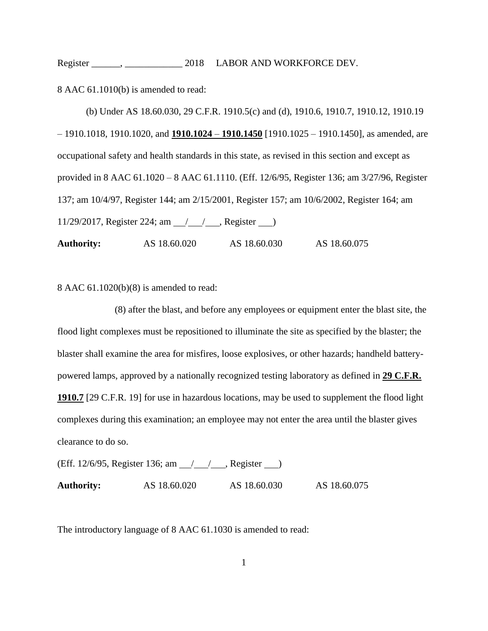Register \_\_\_\_\_\_, \_\_\_\_\_\_\_\_\_\_\_\_ 2018 LABOR AND WORKFORCE DEV.

8 AAC 61.1010(b) is amended to read:

(b) Under AS 18.60.030, 29 C.F.R. 1910.5(c) and (d), 1910.6, 1910.7, 1910.12, 1910.19 – 1910.1018, 1910.1020, and **1910.1024** – **1910.1450** [1910.1025 – 1910.1450], as amended, are occupational safety and health standards in this state, as revised in this section and except as provided in 8 AAC 61.1020 – 8 AAC 61.1110. (Eff. 12/6/95, Register 136; am 3/27/96, Register 137; am 10/4/97, Register 144; am 2/15/2001, Register 157; am 10/6/2002, Register 164; am 11/29/2017, Register 224; am  $\frac{1}{\sqrt{2}}$ , Register  $\frac{1}{\sqrt{2}}$ 

**Authority:** AS 18.60.020 AS 18.60.030 AS 18.60.075

8 AAC 61.1020(b)(8) is amended to read:

(8) after the blast, and before any employees or equipment enter the blast site, the flood light complexes must be repositioned to illuminate the site as specified by the blaster; the blaster shall examine the area for misfires, loose explosives, or other hazards; handheld batterypowered lamps, approved by a nationally recognized testing laboratory as defined in **29 C.F.R. 1910.7** [29 C.F.R. 19] for use in hazardous locations, may be used to supplement the flood light complexes during this examination; an employee may not enter the area until the blaster gives clearance to do so.

(Eff. 12/6/95, Register 136; am ////, Register ) **Authority:** AS 18.60.020 AS 18.60.030 AS 18.60.075

The introductory language of 8 AAC 61.1030 is amended to read: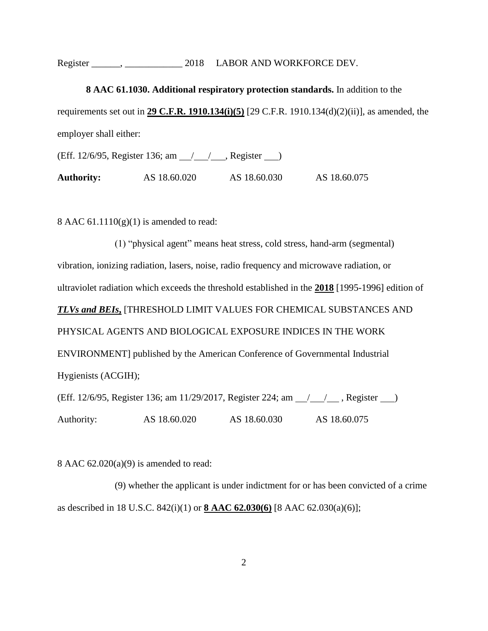Register \_\_\_\_\_\_, \_\_\_\_\_\_\_\_\_\_\_\_ 2018 LABOR AND WORKFORCE DEV.

**8 AAC 61.1030. Additional respiratory protection standards.** In addition to the requirements set out in **29 C.F.R. 1910.134(i)(5)** [29 C.F.R. 1910.134(d)(2)(ii)], as amended, the employer shall either: (Eff. 12/6/95, Register 136; am  $\frac{1}{1}$  , Register  $\frac{1}{1}$ )

**Authority:** AS 18.60.020 AS 18.60.030 AS 18.60.075

8 AAC  $61.1110(g)(1)$  is amended to read:

(1) "physical agent" means heat stress, cold stress, hand-arm (segmental) vibration, ionizing radiation, lasers, noise, radio frequency and microwave radiation, or ultraviolet radiation which exceeds the threshold established in the **2018** [1995-1996] edition of *TLVs and BEIs***,** [THRESHOLD LIMIT VALUES FOR CHEMICAL SUBSTANCES AND PHYSICAL AGENTS AND BIOLOGICAL EXPOSURE INDICES IN THE WORK ENVIRONMENT] published by the American Conference of Governmental Industrial Hygienists (ACGIH); (Eff. 12/6/95, Register 136; am 11/29/2017, Register 224; am 1/1/29, Register 10

Authority: AS 18.60.020 AS 18.60.030 AS 18.60.075

8 AAC 62.020(a)(9) is amended to read:

(9) whether the applicant is under indictment for or has been convicted of a crime as described in 18 U.S.C. 842(i)(1) or **8 AAC 62.030(6)** [8 AAC 62.030(a)(6)];